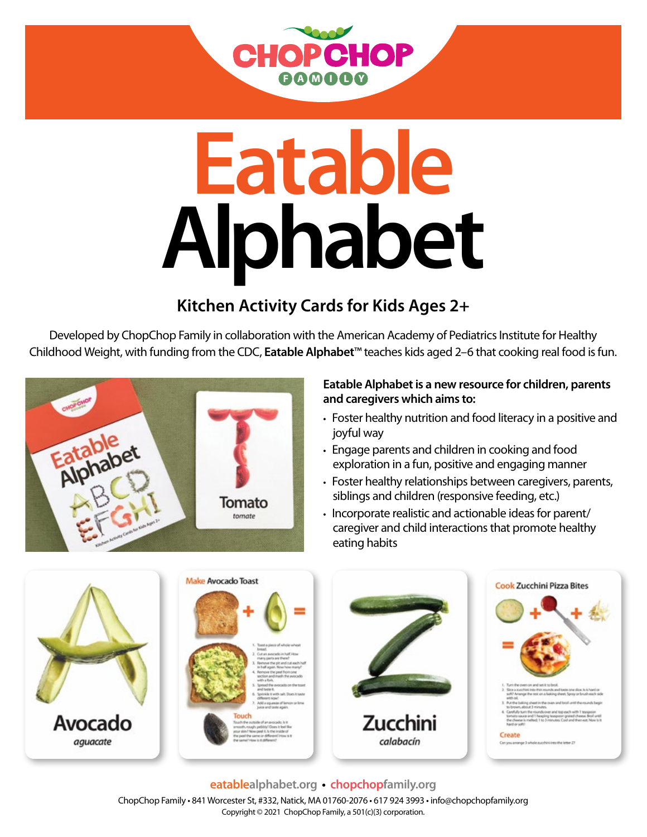

# **Eatable Alphabet**

### **Kitchen Activity Cards for Kids Ages 2+**

Developed by ChopChop Family in collaboration with the American Academy of Pediatrics Institute for Healthy Childhood Weight, with funding from the CDC, **Eatable Alphabet**™ teaches kids aged 2–6 that cooking real food is fun.



#### **Eatable Alphabet is a new resource for children, parents and caregivers which aims to:**

- Foster healthy nutrition and food literacy in a positive and joyful way
- Engage parents and children in cooking and food exploration in a fun, positive and engaging manner
- Foster healthy relationships between caregivers, parents, siblings and children (responsive feeding, etc.)
- Incorporate realistic and actionable ideas for parent/ caregiver and child interactions that promote healthy eating habits



**eatablealphabet.org • chopchopfamily.org** ChopChop Family • 841 Worcester St, #332, Natick, MA 01760-2076 • 617 924 3993 • info@chopchopfamily.org Copyright © 2021 ChopChop Family, a 501(c)(3) corporation.